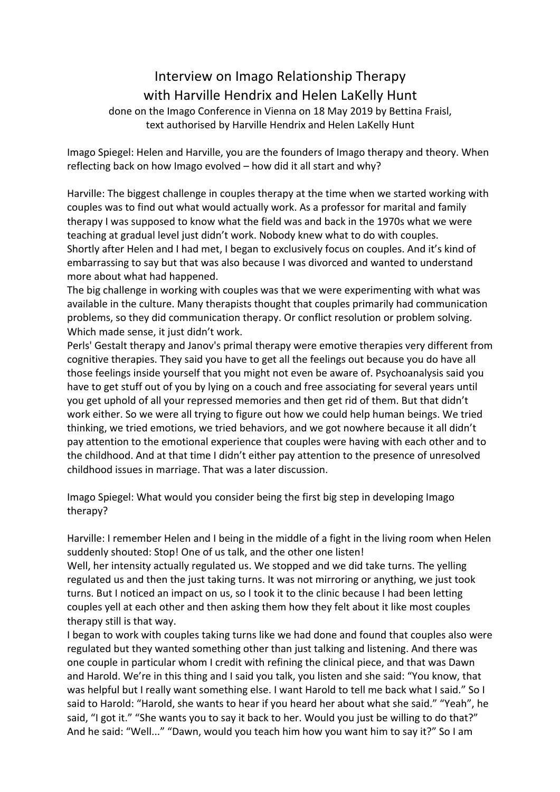## Interview on Imago Relationship Therapy with Harville Hendrix and Helen LaKelly Hunt

done on the Imago Conference in Vienna on 18 May 2019 by Bettina Fraisl, text authorised by Harville Hendrix and Helen LaKelly Hunt

Imago Spiegel: Helen and Harville, you are the founders of Imago therapy and theory. When reflecting back on how Imago evolved  $-$  how did it all start and why?

Harville: The biggest challenge in couples therapy at the time when we started working with couples was to find out what would actually work. As a professor for marital and family therapy I was supposed to know what the field was and back in the 1970s what we were teaching at gradual level just didn't work. Nobody knew what to do with couples. Shortly after Helen and I had met, I began to exclusively focus on couples. And it's kind of embarrassing to say but that was also because I was divorced and wanted to understand more about what had happened.

The big challenge in working with couples was that we were experimenting with what was available in the culture. Many therapists thought that couples primarily had communication problems, so they did communication therapy. Or conflict resolution or problem solving. Which made sense, it just didn't work.

Perls' Gestalt therapy and Janov's primal therapy were emotive therapies very different from cognitive therapies. They said you have to get all the feelings out because you do have all those feelings inside yourself that you might not even be aware of. Psychoanalysis said you have to get stuff out of you by lying on a couch and free associating for several years until you get uphold of all your repressed memories and then get rid of them. But that didn't work either. So we were all trying to figure out how we could help human beings. We tried thinking, we tried emotions, we tried behaviors, and we got nowhere because it all didn't pay attention to the emotional experience that couples were having with each other and to the childhood. And at that time I didn't either pay attention to the presence of unresolved childhood issues in marriage. That was a later discussion.

Imago Spiegel: What would you consider being the first big step in developing Imago therapy?

Harville: I remember Helen and I being in the middle of a fight in the living room when Helen suddenly shouted: Stop! One of us talk, and the other one listen!

Well, her intensity actually regulated us. We stopped and we did take turns. The yelling regulated us and then the just taking turns. It was not mirroring or anything, we just took turns. But I noticed an impact on us, so I took it to the clinic because I had been letting couples yell at each other and then asking them how they felt about it like most couples therapy still is that way.

I began to work with couples taking turns like we had done and found that couples also were regulated but they wanted something other than just talking and listening. And there was one couple in particular whom I credit with refining the clinical piece, and that was Dawn and Harold. We're in this thing and I said you talk, you listen and she said: "You know, that was helpful but I really want something else. I want Harold to tell me back what I said." So I said to Harold: "Harold, she wants to hear if you heard her about what she said." "Yeah", he said, "I got it." "She wants you to say it back to her. Would you just be willing to do that?" And he said: "Well..." "Dawn, would you teach him how you want him to say it?" So I am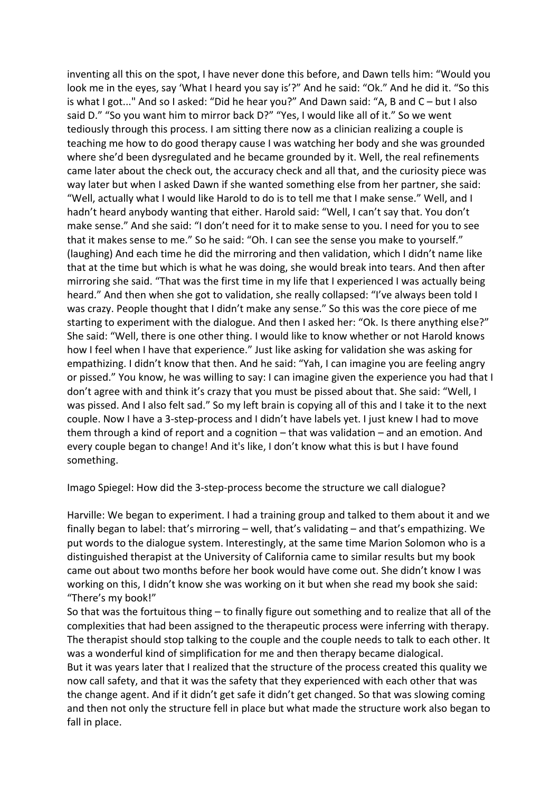inventing all this on the spot, I have never done this before, and Dawn tells him: "Would you look me in the eyes, say 'What I heard you say is'?" And he said: "Ok." And he did it. "So this is what I got..." And so I asked: "Did he hear you?" And Dawn said: "A, B and  $C - but I$  also said D." "So you want him to mirror back D?" "Yes, I would like all of it." So we went tediously through this process. I am sitting there now as a clinician realizing a couple is teaching me how to do good therapy cause I was watching her body and she was grounded where she'd been dysregulated and he became grounded by it. Well, the real refinements came later about the check out, the accuracy check and all that, and the curiosity piece was way later but when I asked Dawn if she wanted something else from her partner, she said: "Well, actually what I would like Harold to do is to tell me that I make sense." Well, and I hadn't heard anybody wanting that either. Harold said: "Well, I can't say that. You don't make sense." And she said: "I don't need for it to make sense to you. I need for you to see that it makes sense to me." So he said: "Oh. I can see the sense you make to yourself." (laughing) And each time he did the mirroring and then validation, which I didn't name like that at the time but which is what he was doing, she would break into tears. And then after mirroring she said. "That was the first time in my life that I experienced I was actually being heard." And then when she got to validation, she really collapsed: "I've always been told I was crazy. People thought that I didn't make any sense." So this was the core piece of me starting to experiment with the dialogue. And then I asked her: "Ok. Is there anything else?" She said: "Well, there is one other thing. I would like to know whether or not Harold knows how I feel when I have that experience." Just like asking for validation she was asking for empathizing. I didn't know that then. And he said: "Yah, I can imagine you are feeling angry or pissed." You know, he was willing to say: I can imagine given the experience you had that I don't agree with and think it's crazy that you must be pissed about that. She said: "Well, I was pissed. And I also felt sad." So my left brain is copying all of this and I take it to the next couple. Now I have a 3-step-process and I didn't have labels yet. I just knew I had to move them through a kind of report and a cognition  $-$  that was validation  $-$  and an emotion. And every couple began to change! And it's like, I don't know what this is but I have found something. 

Imago Spiegel: How did the 3-step-process become the structure we call dialogue?

Harville: We began to experiment. I had a training group and talked to them about it and we finally began to label: that's mirroring - well, that's validating - and that's empathizing. We put words to the dialogue system. Interestingly, at the same time Marion Solomon who is a distinguished therapist at the University of California came to similar results but my book came out about two months before her book would have come out. She didn't know I was working on this, I didn't know she was working on it but when she read my book she said: "There's my book!"

So that was the fortuitous thing  $-$  to finally figure out something and to realize that all of the complexities that had been assigned to the therapeutic process were inferring with therapy. The therapist should stop talking to the couple and the couple needs to talk to each other. It was a wonderful kind of simplification for me and then therapy became dialogical. But it was years later that I realized that the structure of the process created this quality we now call safety, and that it was the safety that they experienced with each other that was the change agent. And if it didn't get safe it didn't get changed. So that was slowing coming and then not only the structure fell in place but what made the structure work also began to fall in place.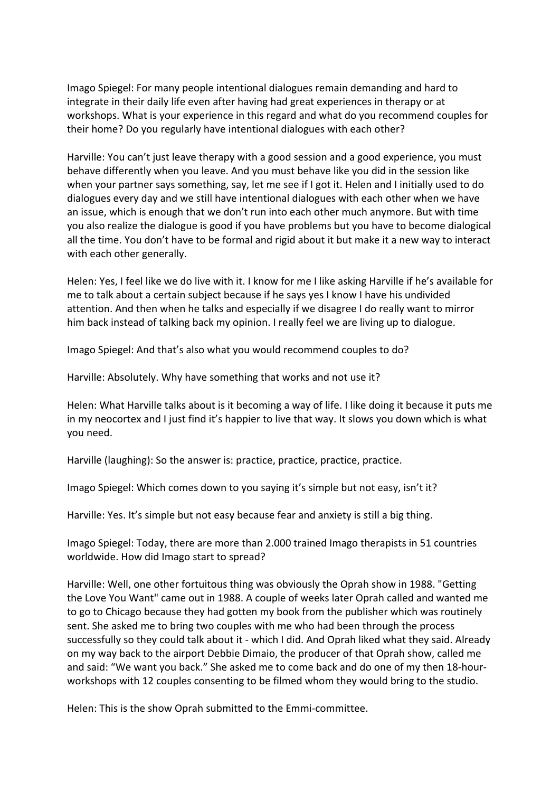Imago Spiegel: For many people intentional dialogues remain demanding and hard to integrate in their daily life even after having had great experiences in therapy or at workshops. What is your experience in this regard and what do you recommend couples for their home? Do you regularly have intentional dialogues with each other?

Harville: You can't just leave therapy with a good session and a good experience, you must behave differently when you leave. And you must behave like you did in the session like when your partner says something, say, let me see if I got it. Helen and I initially used to do dialogues every day and we still have intentional dialogues with each other when we have an issue, which is enough that we don't run into each other much anymore. But with time you also realize the dialogue is good if you have problems but you have to become dialogical all the time. You don't have to be formal and rigid about it but make it a new way to interact with each other generally.

Helen: Yes, I feel like we do live with it. I know for me I like asking Harville if he's available for me to talk about a certain subject because if he says yes I know I have his undivided attention. And then when he talks and especially if we disagree I do really want to mirror him back instead of talking back my opinion. I really feel we are living up to dialogue.

Imago Spiegel: And that's also what you would recommend couples to do?

Harville: Absolutely. Why have something that works and not use it?

Helen: What Harville talks about is it becoming a way of life. I like doing it because it puts me in my neocortex and I just find it's happier to live that way. It slows you down which is what you need.

Harville (laughing): So the answer is: practice, practice, practice. practice.

Imago Spiegel: Which comes down to you saying it's simple but not easy, isn't it?

Harville: Yes. It's simple but not easy because fear and anxiety is still a big thing.

Imago Spiegel: Today, there are more than 2.000 trained Imago therapists in 51 countries worldwide. How did Imago start to spread?

Harville: Well, one other fortuitous thing was obviously the Oprah show in 1988. "Getting the Love You Want" came out in 1988. A couple of weeks later Oprah called and wanted me to go to Chicago because they had gotten my book from the publisher which was routinely sent. She asked me to bring two couples with me who had been through the process successfully so they could talk about it - which I did. And Oprah liked what they said. Already on my way back to the airport Debbie Dimaio, the producer of that Oprah show, called me and said: "We want you back." She asked me to come back and do one of my then 18-hourworkshops with 12 couples consenting to be filmed whom they would bring to the studio.

Helen: This is the show Oprah submitted to the Emmi-committee.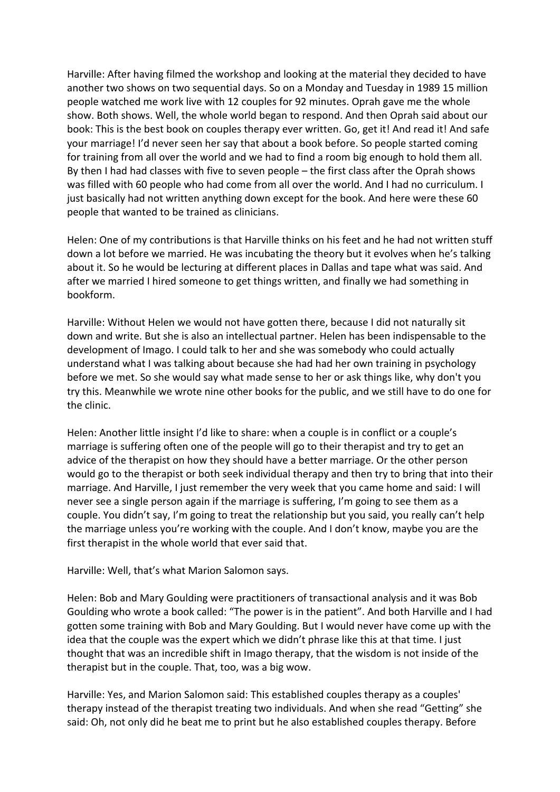Harville: After having filmed the workshop and looking at the material they decided to have another two shows on two sequential days. So on a Monday and Tuesday in 1989 15 million people watched me work live with 12 couples for 92 minutes. Oprah gave me the whole show. Both shows. Well, the whole world began to respond. And then Oprah said about our book: This is the best book on couples therapy ever written. Go, get it! And read it! And safe your marriage! I'd never seen her say that about a book before. So people started coming for training from all over the world and we had to find a room big enough to hold them all. By then I had had classes with five to seven people  $-$  the first class after the Oprah shows was filled with 60 people who had come from all over the world. And I had no curriculum. I just basically had not written anything down except for the book. And here were these 60 people that wanted to be trained as clinicians.

Helen: One of my contributions is that Harville thinks on his feet and he had not written stuff down a lot before we married. He was incubating the theory but it evolves when he's talking about it. So he would be lecturing at different places in Dallas and tape what was said. And after we married I hired someone to get things written, and finally we had something in bookform. 

Harville: Without Helen we would not have gotten there, because I did not naturally sit down and write. But she is also an intellectual partner. Helen has been indispensable to the development of Imago. I could talk to her and she was somebody who could actually understand what I was talking about because she had had her own training in psychology before we met. So she would say what made sense to her or ask things like, why don't you try this. Meanwhile we wrote nine other books for the public, and we still have to do one for the clinic.

Helen: Another little insight I'd like to share: when a couple is in conflict or a couple's marriage is suffering often one of the people will go to their therapist and try to get an advice of the therapist on how they should have a better marriage. Or the other person would go to the therapist or both seek individual therapy and then try to bring that into their marriage. And Harville, I just remember the very week that you came home and said: I will never see a single person again if the marriage is suffering, I'm going to see them as a couple. You didn't say, I'm going to treat the relationship but you said, you really can't help the marriage unless you're working with the couple. And I don't know, maybe you are the first therapist in the whole world that ever said that.

Harville: Well, that's what Marion Salomon says.

Helen: Bob and Mary Goulding were practitioners of transactional analysis and it was Bob Goulding who wrote a book called: "The power is in the patient". And both Harville and I had gotten some training with Bob and Mary Goulding. But I would never have come up with the idea that the couple was the expert which we didn't phrase like this at that time. I just thought that was an incredible shift in Imago therapy, that the wisdom is not inside of the therapist but in the couple. That, too, was a big wow.

Harville: Yes, and Marion Salomon said: This established couples therapy as a couples' therapy instead of the therapist treating two individuals. And when she read "Getting" she said: Oh, not only did he beat me to print but he also established couples therapy. Before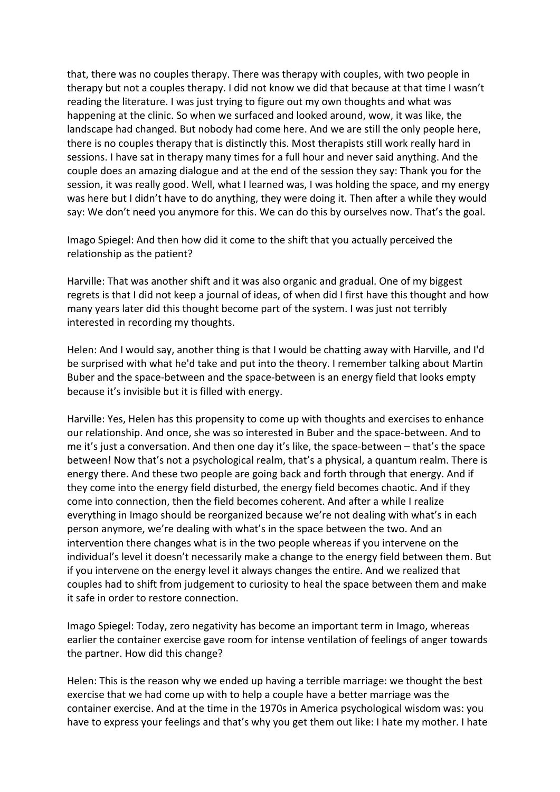that, there was no couples therapy. There was therapy with couples, with two people in therapy but not a couples therapy. I did not know we did that because at that time I wasn't reading the literature. I was just trying to figure out my own thoughts and what was happening at the clinic. So when we surfaced and looked around, wow, it was like, the landscape had changed. But nobody had come here. And we are still the only people here, there is no couples therapy that is distinctly this. Most therapists still work really hard in sessions. I have sat in therapy many times for a full hour and never said anything. And the couple does an amazing dialogue and at the end of the session they say: Thank you for the session, it was really good. Well, what I learned was, I was holding the space, and my energy was here but I didn't have to do anything, they were doing it. Then after a while they would say: We don't need you anymore for this. We can do this by ourselves now. That's the goal.

Imago Spiegel: And then how did it come to the shift that you actually perceived the relationship as the patient?

Harville: That was another shift and it was also organic and gradual. One of my biggest regrets is that I did not keep a journal of ideas, of when did I first have this thought and how many years later did this thought become part of the system. I was just not terribly interested in recording my thoughts.

Helen: And I would say, another thing is that I would be chatting away with Harville, and I'd be surprised with what he'd take and put into the theory. I remember talking about Martin Buber and the space-between and the space-between is an energy field that looks empty because it's invisible but it is filled with energy.

Harville: Yes, Helen has this propensity to come up with thoughts and exercises to enhance our relationship. And once, she was so interested in Buber and the space-between. And to me it's just a conversation. And then one day it's like, the space-between  $-$  that's the space between! Now that's not a psychological realm, that's a physical, a quantum realm. There is energy there. And these two people are going back and forth through that energy. And if they come into the energy field disturbed, the energy field becomes chaotic. And if they come into connection, then the field becomes coherent. And after a while I realize everything in Imago should be reorganized because we're not dealing with what's in each person anymore, we're dealing with what's in the space between the two. And an intervention there changes what is in the two people whereas if you intervene on the individual's level it doesn't necessarily make a change to the energy field between them. But if you intervene on the energy level it always changes the entire. And we realized that couples had to shift from judgement to curiosity to heal the space between them and make it safe in order to restore connection.

Imago Spiegel: Today, zero negativity has become an important term in Imago, whereas earlier the container exercise gave room for intense ventilation of feelings of anger towards the partner. How did this change?

Helen: This is the reason why we ended up having a terrible marriage: we thought the best exercise that we had come up with to help a couple have a better marriage was the container exercise. And at the time in the 1970s in America psychological wisdom was: you have to express your feelings and that's why you get them out like: I hate my mother. I hate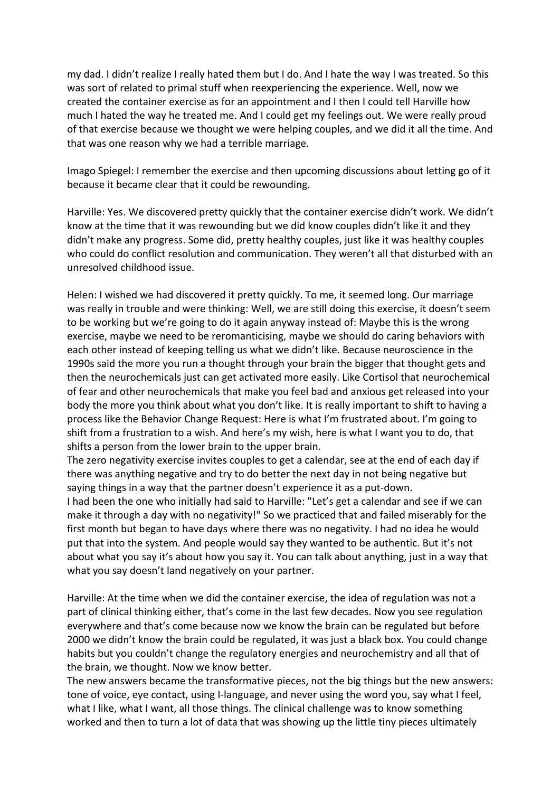my dad. I didn't realize I really hated them but I do. And I hate the way I was treated. So this was sort of related to primal stuff when reexperiencing the experience. Well, now we created the container exercise as for an appointment and I then I could tell Harville how much I hated the way he treated me. And I could get my feelings out. We were really proud of that exercise because we thought we were helping couples, and we did it all the time. And that was one reason why we had a terrible marriage.

Imago Spiegel: I remember the exercise and then upcoming discussions about letting go of it because it became clear that it could be rewounding.

Harville: Yes. We discovered pretty quickly that the container exercise didn't work. We didn't know at the time that it was rewounding but we did know couples didn't like it and they didn't make any progress. Some did, pretty healthy couples, just like it was healthy couples who could do conflict resolution and communication. They weren't all that disturbed with an unresolved childhood issue. 

Helen: I wished we had discovered it pretty quickly. To me, it seemed long. Our marriage was really in trouble and were thinking: Well, we are still doing this exercise, it doesn't seem to be working but we're going to do it again anyway instead of: Maybe this is the wrong exercise, maybe we need to be reromanticising, maybe we should do caring behaviors with each other instead of keeping telling us what we didn't like. Because neuroscience in the 1990s said the more you run a thought through your brain the bigger that thought gets and then the neurochemicals just can get activated more easily. Like Cortisol that neurochemical of fear and other neurochemicals that make you feel bad and anxious get released into your body the more you think about what you don't like. It is really important to shift to having a process like the Behavior Change Request: Here is what I'm frustrated about. I'm going to shift from a frustration to a wish. And here's my wish, here is what I want you to do, that shifts a person from the lower brain to the upper brain.

The zero negativity exercise invites couples to get a calendar, see at the end of each day if there was anything negative and try to do better the next day in not being negative but saying things in a way that the partner doesn't experience it as a put-down.

I had been the one who initially had said to Harville: "Let's get a calendar and see if we can make it through a day with no negativity!" So we practiced that and failed miserably for the first month but began to have days where there was no negativity. I had no idea he would put that into the system. And people would say they wanted to be authentic. But it's not about what you say it's about how you say it. You can talk about anything, just in a way that what you say doesn't land negatively on your partner.

Harville: At the time when we did the container exercise, the idea of regulation was not a part of clinical thinking either, that's come in the last few decades. Now you see regulation everywhere and that's come because now we know the brain can be regulated but before 2000 we didn't know the brain could be regulated, it was just a black box. You could change habits but you couldn't change the regulatory energies and neurochemistry and all that of the brain, we thought. Now we know better.

The new answers became the transformative pieces, not the big things but the new answers: tone of voice, eye contact, using I-language, and never using the word you, say what I feel, what I like, what I want, all those things. The clinical challenge was to know something worked and then to turn a lot of data that was showing up the little tiny pieces ultimately